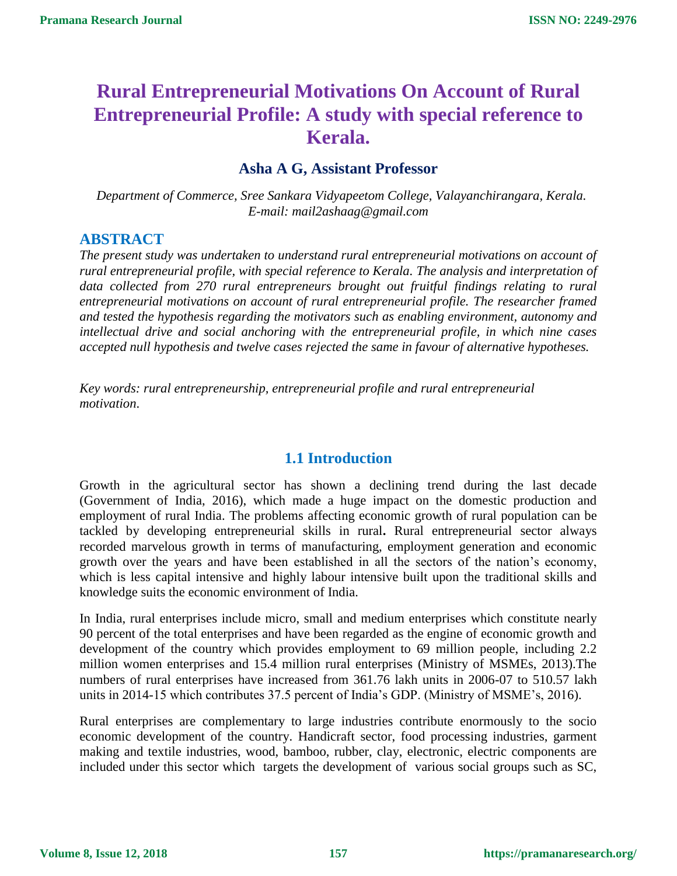# **Rural Entrepreneurial Motivations On Account of Rural Entrepreneurial Profile: A study with special reference to Kerala.**

# **Asha A G, Assistant Professor**

*Department of Commerce, Sree Sankara Vidyapeetom College, Valayanchirangara, Kerala. E-mail: mail2ashaag@gmail.com*

### **ABSTRACT**

*The present study was undertaken to understand rural entrepreneurial motivations on account of rural entrepreneurial profile, with special reference to Kerala. The analysis and interpretation of data collected from 270 rural entrepreneurs brought out fruitful findings relating to rural entrepreneurial motivations on account of rural entrepreneurial profile. The researcher framed and tested the hypothesis regarding the motivators such as enabling environment, autonomy and intellectual drive and social anchoring with the entrepreneurial profile, in which nine cases accepted null hypothesis and twelve cases rejected the same in favour of alternative hypotheses.*

*Key words: rural entrepreneurship, entrepreneurial profile and rural entrepreneurial motivation*.

# **1.1 Introduction**

Growth in the agricultural sector has shown a declining trend during the last decade (Government of India, 2016), which made a huge impact on the domestic production and employment of rural India. The problems affecting economic growth of rural population can be tackled by developing entrepreneurial skills in rural**.** Rural entrepreneurial sector always recorded marvelous growth in terms of manufacturing, employment generation and economic growth over the years and have been established in all the sectors of the nation's economy, which is less capital intensive and highly labour intensive built upon the traditional skills and knowledge suits the economic environment of India.

In India, rural enterprises include micro, small and medium enterprises which constitute nearly 90 percent of the total enterprises and have been regarded as the engine of economic growth and development of the country which provides employment to 69 million people, including 2.2 million women enterprises and 15.4 million rural enterprises (Ministry of MSMEs, 2013).The numbers of rural enterprises have increased from 361.76 lakh units in 2006-07 to 510.57 lakh units in 2014-15 which contributes 37.5 percent of India's GDP. (Ministry of MSME's, 2016).

Rural enterprises are complementary to large industries contribute enormously to the socio economic development of the country. Handicraft sector, food processing industries, garment making and textile industries, wood, bamboo, rubber, clay, electronic, electric components are included under this sector which targets the development of various social groups such as SC,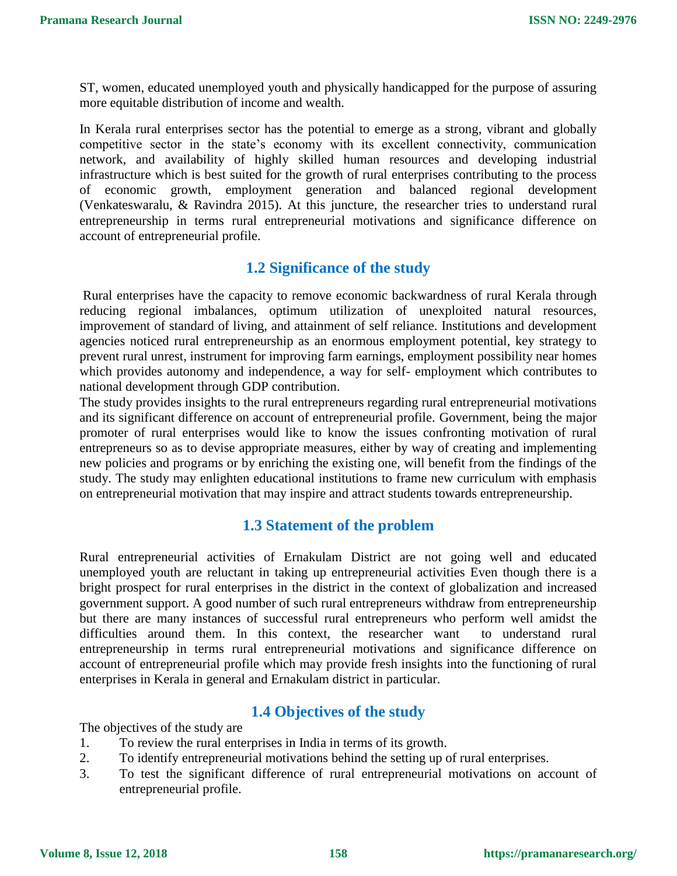ST, women, educated unemployed youth and physically handicapped for the purpose of assuring more equitable distribution of income and wealth.

In Kerala rural enterprises sector has the potential to emerge as a strong, vibrant and globally competitive sector in the state's economy with its excellent connectivity, communication network, and availability of highly skilled human resources and developing industrial infrastructure which is best suited for the growth of rural enterprises contributing to the process of economic growth, employment generation and balanced regional development (Venkateswaralu, & Ravindra 2015). At this juncture, the researcher tries to understand rural entrepreneurship in terms rural entrepreneurial motivations and significance difference on account of entrepreneurial profile.

# **1.2 Significance of the study**

Rural enterprises have the capacity to remove economic backwardness of rural Kerala through reducing regional imbalances, optimum utilization of unexploited natural resources, improvement of standard of living, and attainment of self reliance. Institutions and development agencies noticed rural entrepreneurship as an enormous employment potential, key strategy to prevent rural unrest, instrument for improving farm earnings, employment possibility near homes which provides autonomy and independence, a way for self- employment which contributes to national development through GDP contribution.

The study provides insights to the rural entrepreneurs regarding rural entrepreneurial motivations and its significant difference on account of entrepreneurial profile. Government, being the major promoter of rural enterprises would like to know the issues confronting motivation of rural entrepreneurs so as to devise appropriate measures, either by way of creating and implementing new policies and programs or by enriching the existing one, will benefit from the findings of the study. The study may enlighten educational institutions to frame new curriculum with emphasis on entrepreneurial motivation that may inspire and attract students towards entrepreneurship.

# **1.3 Statement of the problem**

Rural entrepreneurial activities of Ernakulam District are not going well and educated unemployed youth are reluctant in taking up entrepreneurial activities Even though there is a bright prospect for rural enterprises in the district in the context of globalization and increased government support. A good number of such rural entrepreneurs withdraw from entrepreneurship but there are many instances of successful rural entrepreneurs who perform well amidst the difficulties around them. In this context, the researcher want to understand rural entrepreneurship in terms rural entrepreneurial motivations and significance difference on account of entrepreneurial profile which may provide fresh insights into the functioning of rural enterprises in Kerala in general and Ernakulam district in particular.

# **1.4 Objectives of the study**

The objectives of the study are

- 1. To review the rural enterprises in India in terms of its growth.
- 2. To identify entrepreneurial motivations behind the setting up of rural enterprises.
- 3. To test the significant difference of rural entrepreneurial motivations on account of entrepreneurial profile.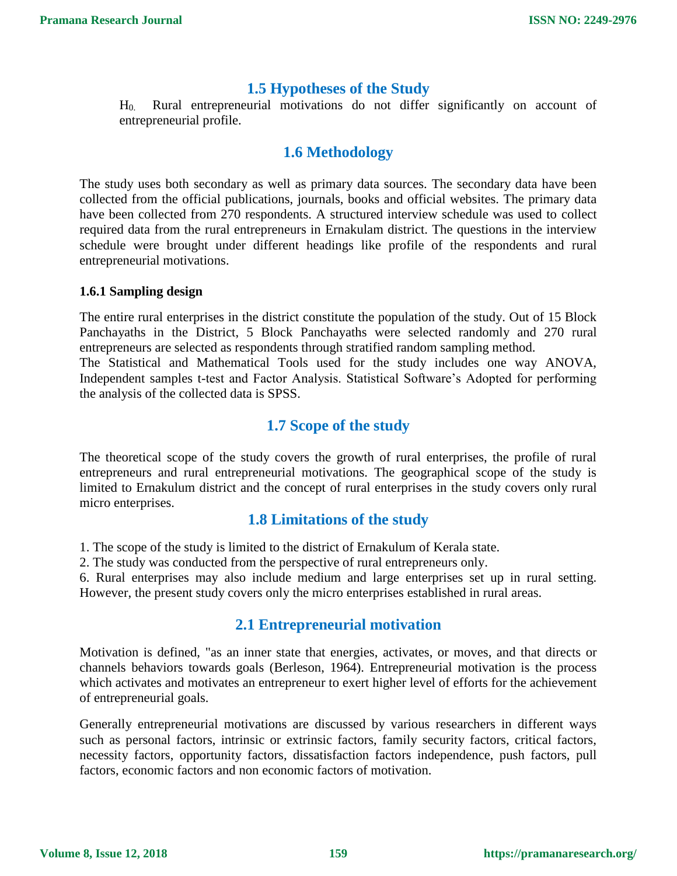### **1.5 Hypotheses of the Study**

H0. Rural entrepreneurial motivations do not differ significantly on account of entrepreneurial profile.

# **1.6 Methodology**

The study uses both secondary as well as primary data sources. The secondary data have been collected from the official publications, journals, books and official websites. The primary data have been collected from 270 respondents. A structured interview schedule was used to collect required data from the rural entrepreneurs in Ernakulam district. The questions in the interview schedule were brought under different headings like profile of the respondents and rural entrepreneurial motivations.

#### **1.6.1 Sampling design**

The entire rural enterprises in the district constitute the population of the study. Out of 15 Block Panchayaths in the District, 5 Block Panchayaths were selected randomly and 270 rural entrepreneurs are selected as respondents through stratified random sampling method. The Statistical and Mathematical Tools used for the study includes one way ANOVA,

Independent samples t-test and Factor Analysis. Statistical Software's Adopted for performing the analysis of the collected data is SPSS.

### **1.7 Scope of the study**

The theoretical scope of the study covers the growth of rural enterprises, the profile of rural entrepreneurs and rural entrepreneurial motivations. The geographical scope of the study is limited to Ernakulum district and the concept of rural enterprises in the study covers only rural micro enterprises.

# **1.8 Limitations of the study**

1. The scope of the study is limited to the district of Ernakulum of Kerala state.

2. The study was conducted from the perspective of rural entrepreneurs only.

6. Rural enterprises may also include medium and large enterprises set up in rural setting. However, the present study covers only the micro enterprises established in rural areas.

# **2.1 Entrepreneurial motivation**

Motivation is defined, "as an inner state that energies, activates, or moves, and that directs or channels behaviors towards goals (Berleson, 1964). Entrepreneurial motivation is the process which activates and motivates an entrepreneur to exert higher level of efforts for the achievement of entrepreneurial goals.

Generally entrepreneurial motivations are discussed by various researchers in different ways such as personal factors, intrinsic or extrinsic factors, family security factors, critical factors, necessity factors, opportunity factors, dissatisfaction factors independence, push factors, pull factors, economic factors and non economic factors of motivation.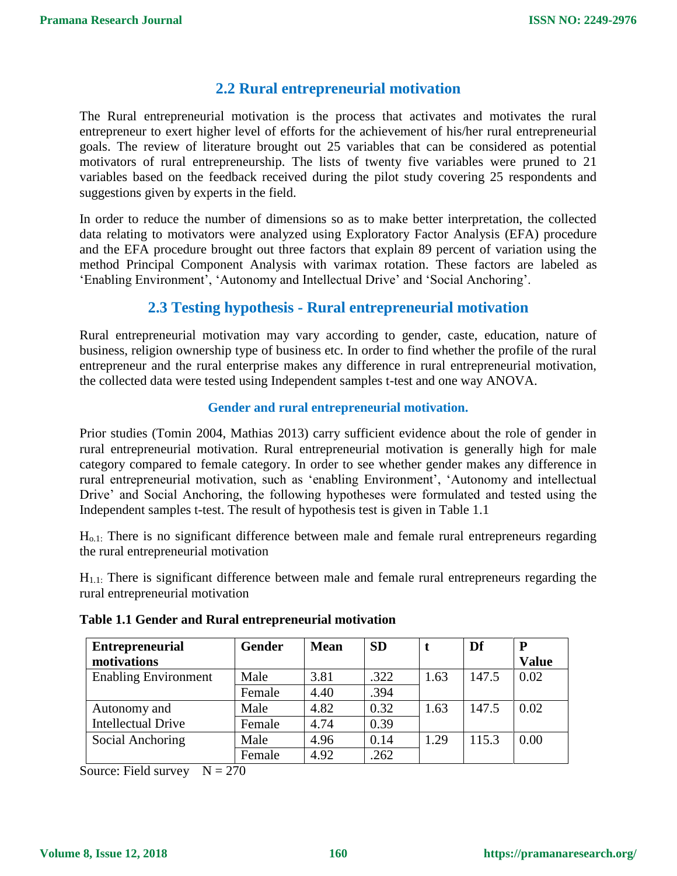# **2.2 Rural entrepreneurial motivation**

The Rural entrepreneurial motivation is the process that activates and motivates the rural entrepreneur to exert higher level of efforts for the achievement of his/her rural entrepreneurial goals. The review of literature brought out 25 variables that can be considered as potential motivators of rural entrepreneurship. The lists of twenty five variables were pruned to 21 variables based on the feedback received during the pilot study covering 25 respondents and suggestions given by experts in the field.

In order to reduce the number of dimensions so as to make better interpretation, the collected data relating to motivators were analyzed using Exploratory Factor Analysis (EFA) procedure and the EFA procedure brought out three factors that explain 89 percent of variation using the method Principal Component Analysis with varimax rotation. These factors are labeled as 'Enabling Environment', 'Autonomy and Intellectual Drive' and 'Social Anchoring'.

# **2.3 Testing hypothesis - Rural entrepreneurial motivation**

Rural entrepreneurial motivation may vary according to gender, caste, education, nature of business, religion ownership type of business etc. In order to find whether the profile of the rural entrepreneur and the rural enterprise makes any difference in rural entrepreneurial motivation, the collected data were tested using Independent samples t-test and one way ANOVA.

#### **Gender and rural entrepreneurial motivation.**

Prior studies (Tomin 2004, Mathias 2013) carry sufficient evidence about the role of gender in rural entrepreneurial motivation. Rural entrepreneurial motivation is generally high for male category compared to female category. In order to see whether gender makes any difference in rural entrepreneurial motivation, such as 'enabling Environment', 'Autonomy and intellectual Drive' and Social Anchoring, the following hypotheses were formulated and tested using the Independent samples t-test. The result of hypothesis test is given in Table 1.1

Ho.1: There is no significant difference between male and female rural entrepreneurs regarding the rural entrepreneurial motivation

H1.1: There is significant difference between male and female rural entrepreneurs regarding the rural entrepreneurial motivation

| <b>Entrepreneurial</b><br>motivations | <b>Gender</b> | <b>Mean</b> | <b>SD</b> |      | Df    | P<br><b>Value</b> |
|---------------------------------------|---------------|-------------|-----------|------|-------|-------------------|
| <b>Enabling Environment</b>           | Male          | 3.81        | .322      | 1.63 | 147.5 | 0.02              |
|                                       | Female        | 4.40        | .394      |      |       |                   |
| Autonomy and                          | Male          | 4.82        | 0.32      | 1.63 | 147.5 | 0.02              |
| <b>Intellectual Drive</b>             | Female        | 4.74        | 0.39      |      |       |                   |
| Social Anchoring                      | Male          | 4.96        | 0.14      | 1.29 | 115.3 | 0.00              |
|                                       | Female        | 4.92        | .262      |      |       |                   |

#### **Table 1.1 Gender and Rural entrepreneurial motivation**

Source: Field survey  $N = 270$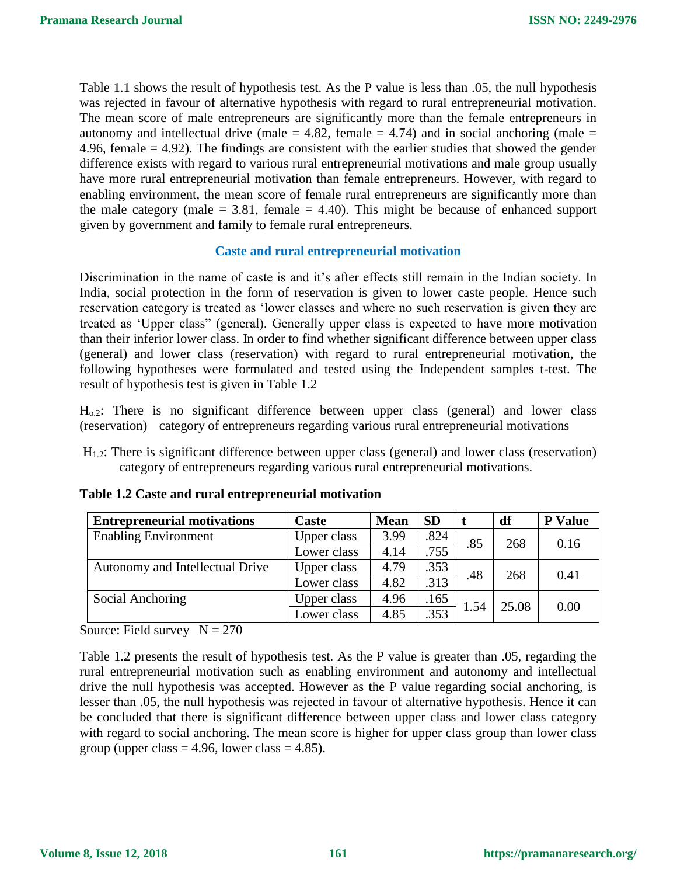Table 1.1 shows the result of hypothesis test. As the P value is less than .05, the null hypothesis was rejected in favour of alternative hypothesis with regard to rural entrepreneurial motivation. The mean score of male entrepreneurs are significantly more than the female entrepreneurs in autonomy and intellectual drive (male  $= 4.82$ , female  $= 4.74$ ) and in social anchoring (male  $=$ 4.96, female  $= 4.92$ ). The findings are consistent with the earlier studies that showed the gender difference exists with regard to various rural entrepreneurial motivations and male group usually have more rural entrepreneurial motivation than female entrepreneurs. However, with regard to enabling environment, the mean score of female rural entrepreneurs are significantly more than the male category (male  $= 3.81$ , female  $= 4.40$ ). This might be because of enhanced support given by government and family to female rural entrepreneurs.

#### **Caste and rural entrepreneurial motivation**

Discrimination in the name of caste is and it's after effects still remain in the Indian society. In India, social protection in the form of reservation is given to lower caste people. Hence such reservation category is treated as 'lower classes and where no such reservation is given they are treated as 'Upper class" (general). Generally upper class is expected to have more motivation than their inferior lower class. In order to find whether significant difference between upper class (general) and lower class (reservation) with regard to rural entrepreneurial motivation, the following hypotheses were formulated and tested using the Independent samples t-test. The result of hypothesis test is given in Table 1.2

 $H<sub>o.2</sub>$ : There is no significant difference between upper class (general) and lower class (reservation) category of entrepreneurs regarding various rural entrepreneurial motivations

H1.2: There is significant difference between upper class (general) and lower class (reservation) category of entrepreneurs regarding various rural entrepreneurial motivations.

| <b>Entrepreneurial motivations</b> | Caste       | <b>Mean</b> | <b>SD</b> |      | df    | <b>P</b> Value |
|------------------------------------|-------------|-------------|-----------|------|-------|----------------|
| <b>Enabling Environment</b>        | Upper class | 3.99        | .824      | .85  | 268   | 0.16           |
|                                    | Lower class | 4.14        | .755      |      |       |                |
| Autonomy and Intellectual Drive    | Upper class | 4.79        | .353      | .48  | 268   | 0.41           |
|                                    | Lower class | 4.82        | .313      |      |       |                |
| Social Anchoring                   | Upper class | 4.96        | .165      | 1.54 | 25.08 | 0.00           |
|                                    | Lower class | 4.85        | .353      |      |       |                |

#### **Table 1.2 Caste and rural entrepreneurial motivation**

Source: Field survey  $N = 270$ 

Table 1.2 presents the result of hypothesis test. As the P value is greater than .05, regarding the rural entrepreneurial motivation such as enabling environment and autonomy and intellectual drive the null hypothesis was accepted. However as the P value regarding social anchoring, is lesser than .05, the null hypothesis was rejected in favour of alternative hypothesis. Hence it can be concluded that there is significant difference between upper class and lower class category with regard to social anchoring. The mean score is higher for upper class group than lower class group (upper class  $= 4.96$ , lower class  $= 4.85$ ).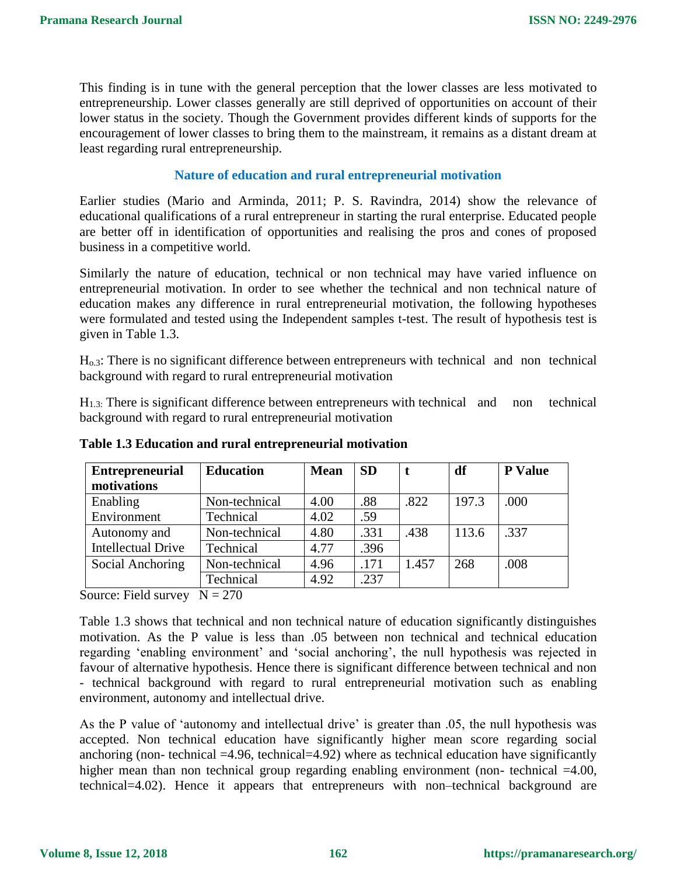This finding is in tune with the general perception that the lower classes are less motivated to entrepreneurship. Lower classes generally are still deprived of opportunities on account of their lower status in the society. Though the Government provides different kinds of supports for the encouragement of lower classes to bring them to the mainstream, it remains as a distant dream at least regarding rural entrepreneurship.

#### **Nature of education and rural entrepreneurial motivation**

Earlier studies (Mario and Arminda, 2011; P. S. Ravindra, 2014) show the relevance of educational qualifications of a rural entrepreneur in starting the rural enterprise. Educated people are better off in identification of opportunities and realising the pros and cones of proposed business in a competitive world.

Similarly the nature of education, technical or non technical may have varied influence on entrepreneurial motivation. In order to see whether the technical and non technical nature of education makes any difference in rural entrepreneurial motivation, the following hypotheses were formulated and tested using the Independent samples t-test. The result of hypothesis test is given in Table 1.3.

Ho.3: There is no significant difference between entrepreneurs with technical and non technical background with regard to rural entrepreneurial motivation

 $H_{1,3}$ : There is significant difference between entrepreneurs with technical and non technical background with regard to rural entrepreneurial motivation

| <b>Entrepreneurial</b><br>motivations | <b>Education</b> | <b>Mean</b> | <b>SD</b> |       | df    | <b>P</b> Value |
|---------------------------------------|------------------|-------------|-----------|-------|-------|----------------|
| Enabling                              | Non-technical    | 4.00        | .88       | .822  | 197.3 | .000           |
| Environment                           | Technical        | 4.02        | .59       |       |       |                |
| Autonomy and                          | Non-technical    | 4.80        | .331      | .438  | 113.6 | .337           |
| <b>Intellectual Drive</b>             | Technical        | 4.77        | .396      |       |       |                |
| Social Anchoring                      | Non-technical    | 4.96        | .171      | 1.457 | 268   | .008           |
|                                       | Technical        | 4.92        | .237      |       |       |                |

**Table 1.3 Education and rural entrepreneurial motivation**

Source: Field survey  $N = 270$ 

Table 1.3 shows that technical and non technical nature of education significantly distinguishes motivation. As the P value is less than .05 between non technical and technical education regarding 'enabling environment' and 'social anchoring', the null hypothesis was rejected in favour of alternative hypothesis. Hence there is significant difference between technical and non - technical background with regard to rural entrepreneurial motivation such as enabling environment, autonomy and intellectual drive.

As the P value of 'autonomy and intellectual drive' is greater than .05, the null hypothesis was accepted. Non technical education have significantly higher mean score regarding social anchoring (non- technical  $=4.96$ , technical  $=4.92$ ) where as technical education have significantly higher mean than non technical group regarding enabling environment (non- technical =4.00, technical=4.02). Hence it appears that entrepreneurs with non–technical background are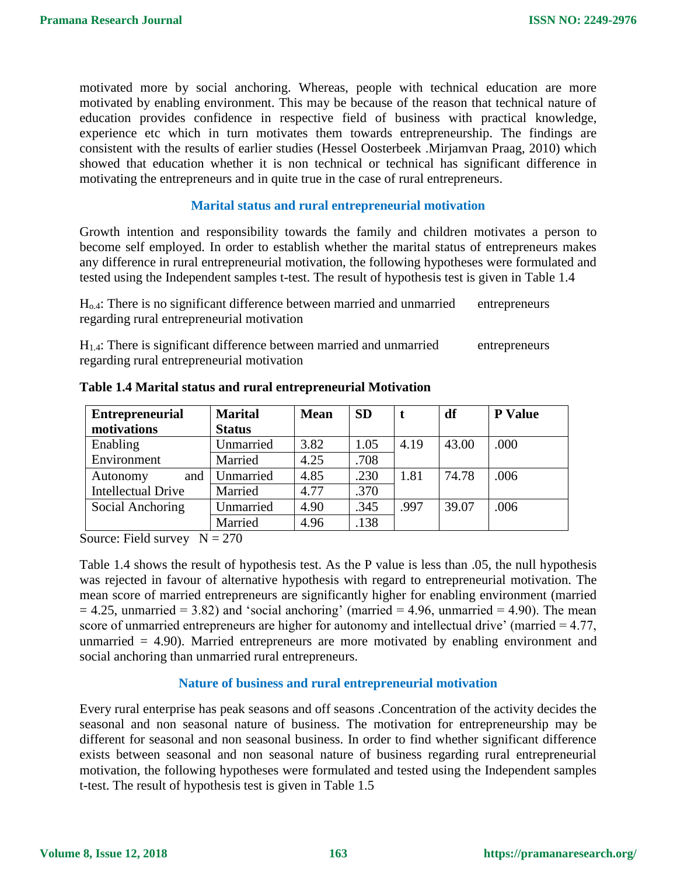motivated more by social anchoring. Whereas, people with technical education are more motivated by enabling environment. This may be because of the reason that technical nature of education provides confidence in respective field of business with practical knowledge, experience etc which in turn motivates them towards entrepreneurship. The findings are consistent with the results of earlier studies (Hessel Oosterbeek .Mirjamvan Praag, 2010) which showed that education whether it is non technical or technical has significant difference in motivating the entrepreneurs and in quite true in the case of rural entrepreneurs.

#### **Marital status and rural entrepreneurial motivation**

Growth intention and responsibility towards the family and children motivates a person to become self employed. In order to establish whether the marital status of entrepreneurs makes any difference in rural entrepreneurial motivation, the following hypotheses were formulated and tested using the Independent samples t-test. The result of hypothesis test is given in Table 1.4

Ho.4: There is no significant difference between married and unmarried entrepreneurs regarding rural entrepreneurial motivation

H<sub>1.4</sub>: There is significant difference between married and unmarried entrepreneurs regarding rural entrepreneurial motivation

| <b>Entrepreneurial</b>    | <b>Marital</b> | <b>Mean</b> | <b>SD</b> | t    | df    | <b>P</b> Value |
|---------------------------|----------------|-------------|-----------|------|-------|----------------|
| motivations               | <b>Status</b>  |             |           |      |       |                |
| Enabling                  | Unmarried      | 3.82        | 1.05      | 4.19 | 43.00 | .000           |
| Environment               | Married        | 4.25        | .708      |      |       |                |
| and<br>Autonomy           | Unmarried      | 4.85        | .230      | 1.81 | 74.78 | .006           |
| <b>Intellectual Drive</b> | Married        | 4.77        | .370      |      |       |                |
| Social Anchoring          | Unmarried      | 4.90        | .345      | .997 | 39.07 | .006           |
|                           | Married        | 4.96        | .138      |      |       |                |

**Table 1.4 Marital status and rural entrepreneurial Motivation**

Source: Field survey  $N = 270$ 

Table 1.4 shows the result of hypothesis test. As the P value is less than .05, the null hypothesis was rejected in favour of alternative hypothesis with regard to entrepreneurial motivation. The mean score of married entrepreneurs are significantly higher for enabling environment (married  $= 4.25$ , unmarried  $= 3.82$ ) and 'social anchoring' (married  $= 4.96$ , unmarried  $= 4.90$ ). The mean score of unmarried entrepreneurs are higher for autonomy and intellectual drive' (married = 4.77, unmarried  $= 4.90$ ). Married entrepreneurs are more motivated by enabling environment and social anchoring than unmarried rural entrepreneurs.

#### **Nature of business and rural entrepreneurial motivation**

Every rural enterprise has peak seasons and off seasons .Concentration of the activity decides the seasonal and non seasonal nature of business. The motivation for entrepreneurship may be different for seasonal and non seasonal business. In order to find whether significant difference exists between seasonal and non seasonal nature of business regarding rural entrepreneurial motivation, the following hypotheses were formulated and tested using the Independent samples t-test. The result of hypothesis test is given in Table 1.5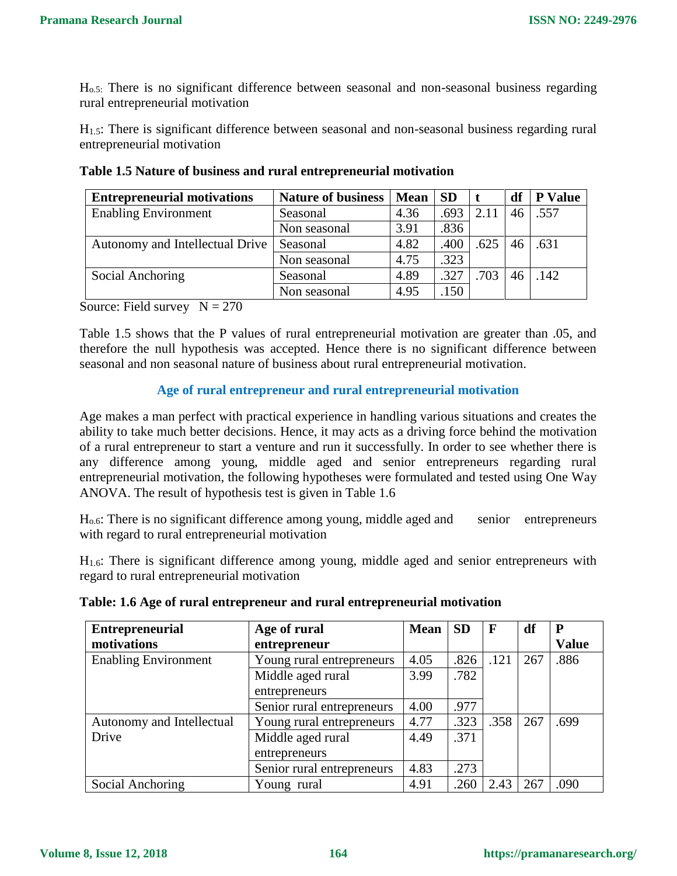Ho.5: There is no significant difference between seasonal and non-seasonal business regarding rural entrepreneurial motivation

H1.5: There is significant difference between seasonal and non-seasonal business regarding rural entrepreneurial motivation

| <b>Entrepreneurial motivations</b> | <b>Nature of business</b> | <b>Mean</b> | <b>SD</b> |      | df | <b>P</b> Value |
|------------------------------------|---------------------------|-------------|-----------|------|----|----------------|
| <b>Enabling Environment</b>        | Seasonal                  | 4.36        | .693      | 2.11 | 46 | .557           |
|                                    | Non seasonal              | 3.91        | .836      |      |    |                |
| Autonomy and Intellectual Drive    | Seasonal                  | 4.82        | .400      | .625 | 46 | .631           |
|                                    | Non seasonal              | 4.75        | .323      |      |    |                |
| Social Anchoring                   | Seasonal                  | 4.89        | .327      | .703 | 46 | .142           |
|                                    | Non seasonal              | 4.95        | .150      |      |    |                |

**Table 1.5 Nature of business and rural entrepreneurial motivation**

Source: Field survey  $N = 270$ 

Table 1.5 shows that the P values of rural entrepreneurial motivation are greater than .05, and therefore the null hypothesis was accepted. Hence there is no significant difference between seasonal and non seasonal nature of business about rural entrepreneurial motivation.

#### **Age of rural entrepreneur and rural entrepreneurial motivation**

Age makes a man perfect with practical experience in handling various situations and creates the ability to take much better decisions. Hence, it may acts as a driving force behind the motivation of a rural entrepreneur to start a venture and run it successfully. In order to see whether there is any difference among young, middle aged and senior entrepreneurs regarding rural entrepreneurial motivation, the following hypotheses were formulated and tested using One Way ANOVA. The result of hypothesis test is given in Table 1.6

Ho.6: There is no significant difference among young, middle aged and senior entrepreneurs with regard to rural entrepreneurial motivation

H1.6: There is significant difference among young, middle aged and senior entrepreneurs with regard to rural entrepreneurial motivation

| $\perp$ Entrepreneurial | Age of rural | $Mean$ SD F |  | df |
|-------------------------|--------------|-------------|--|----|

**Table: 1.6 Age of rural entrepreneur and rural entrepreneurial motivation**

| <b>Entrepreneurial</b>      | Age of rural               | <b>Mean</b> | <b>SD</b> | $\mathbf F$ | df  | P            |
|-----------------------------|----------------------------|-------------|-----------|-------------|-----|--------------|
| motivations                 | entrepreneur               |             |           |             |     | <b>Value</b> |
| <b>Enabling Environment</b> | Young rural entrepreneurs  | 4.05        | .826      | .121        | 267 | .886         |
|                             | Middle aged rural          | 3.99        | .782      |             |     |              |
|                             | entrepreneurs              |             |           |             |     |              |
|                             | Senior rural entrepreneurs | 4.00        | .977      |             |     |              |
| Autonomy and Intellectual   | Young rural entrepreneurs  | 4.77        | .323      | .358        | 267 | .699         |
| Drive                       | Middle aged rural          | 4.49        | .371      |             |     |              |
|                             | entrepreneurs              |             |           |             |     |              |
|                             | Senior rural entrepreneurs | 4.83        | .273      |             |     |              |
| Social Anchoring            | Young rural                | 4.91        | .260      | 2.43        | 267 | .090         |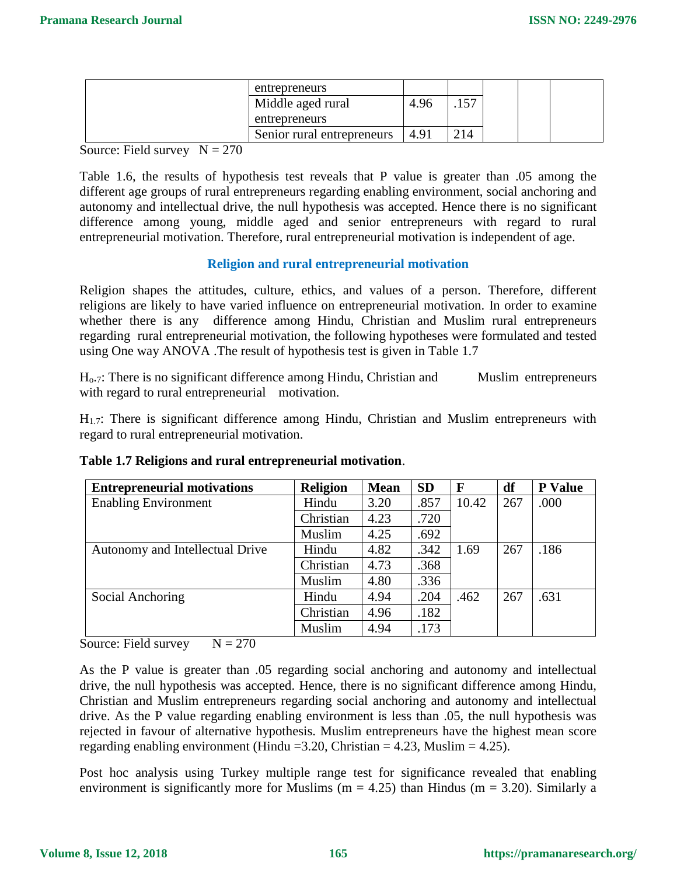| entrepreneurs              |      |     |  |  |
|----------------------------|------|-----|--|--|
| Middle aged rural          | 4.96 |     |  |  |
| entrepreneurs              |      |     |  |  |
| Senior rural entrepreneurs | 4.91 | 214 |  |  |

Source: Field survey  $N = 270$ 

Table 1.6, the results of hypothesis test reveals that P value is greater than .05 among the different age groups of rural entrepreneurs regarding enabling environment, social anchoring and autonomy and intellectual drive, the null hypothesis was accepted. Hence there is no significant difference among young, middle aged and senior entrepreneurs with regard to rural entrepreneurial motivation. Therefore, rural entrepreneurial motivation is independent of age.

#### **Religion and rural entrepreneurial motivation**

Religion shapes the attitudes, culture, ethics, and values of a person. Therefore, different religions are likely to have varied influence on entrepreneurial motivation. In order to examine whether there is any difference among Hindu, Christian and Muslim rural entrepreneurs regarding rural entrepreneurial motivation, the following hypotheses were formulated and tested using One way ANOVA .The result of hypothesis test is given in Table 1.7

 $H<sub>0.7</sub>$ : There is no significant difference among Hindu, Christian and Muslim entrepreneurs with regard to rural entrepreneurial motivation.

H1.7: There is significant difference among Hindu, Christian and Muslim entrepreneurs with regard to rural entrepreneurial motivation.

| <b>Entrepreneurial motivations</b> | <b>Religion</b> | <b>Mean</b> | <b>SD</b> | $\mathbf{F}$ | df  | <b>P</b> Value |
|------------------------------------|-----------------|-------------|-----------|--------------|-----|----------------|
| <b>Enabling Environment</b>        | Hindu           | 3.20        | .857      | 10.42        | 267 | .000           |
|                                    | Christian       | 4.23        | .720      |              |     |                |
|                                    | Muslim          | 4.25        | .692      |              |     |                |
| Autonomy and Intellectual Drive    | Hindu           | 4.82        | .342      | 1.69         | 267 | .186           |
|                                    | Christian       | 4.73        | .368      |              |     |                |
|                                    | Muslim          | 4.80        | .336      |              |     |                |
| Social Anchoring                   | Hindu           | 4.94        | .204      | .462         | 267 | .631           |
|                                    | Christian       | 4.96        | .182      |              |     |                |
|                                    | Muslim          | 4.94        | 173       |              |     |                |

**Table 1.7 Religions and rural entrepreneurial motivation**.

Source: Field survey  $N = 270$ 

As the P value is greater than .05 regarding social anchoring and autonomy and intellectual drive, the null hypothesis was accepted. Hence, there is no significant difference among Hindu, Christian and Muslim entrepreneurs regarding social anchoring and autonomy and intellectual drive. As the P value regarding enabling environment is less than .05, the null hypothesis was rejected in favour of alternative hypothesis. Muslim entrepreneurs have the highest mean score regarding enabling environment (Hindu = 3.20, Christian =  $4.23$ , Muslim =  $4.25$ ).

Post hoc analysis using Turkey multiple range test for significance revealed that enabling environment is significantly more for Muslims ( $m = 4.25$ ) than Hindus ( $m = 3.20$ ). Similarly a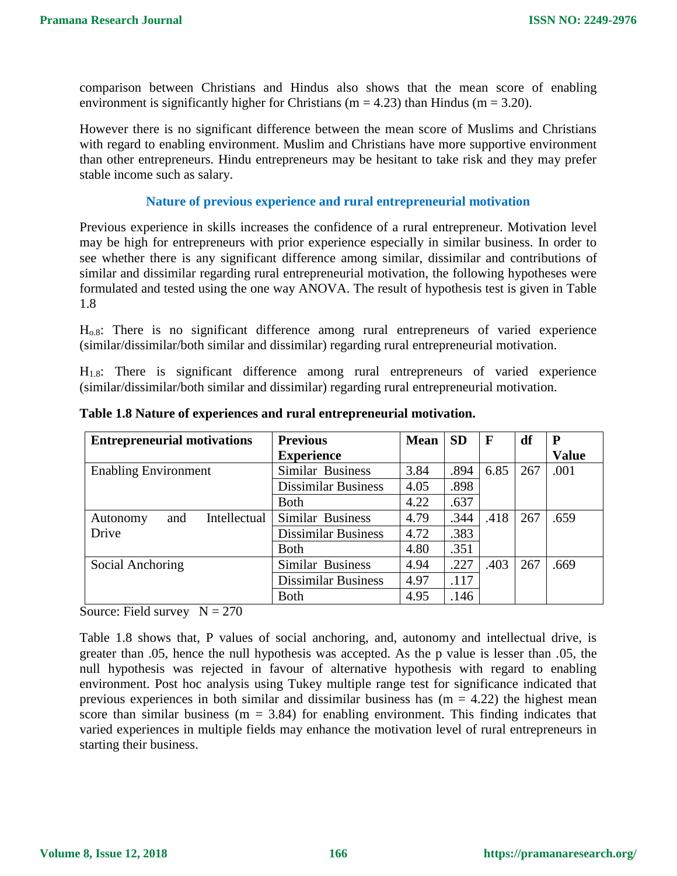comparison between Christians and Hindus also shows that the mean score of enabling environment is significantly higher for Christians ( $m = 4.23$ ) than Hindus ( $m = 3.20$ ).

However there is no significant difference between the mean score of Muslims and Christians with regard to enabling environment. Muslim and Christians have more supportive environment than other entrepreneurs. Hindu entrepreneurs may be hesitant to take risk and they may prefer stable income such as salary.

#### **Nature of previous experience and rural entrepreneurial motivation**

Previous experience in skills increases the confidence of a rural entrepreneur. Motivation level may be high for entrepreneurs with prior experience especially in similar business. In order to see whether there is any significant difference among similar, dissimilar and contributions of similar and dissimilar regarding rural entrepreneurial motivation, the following hypotheses were formulated and tested using the one way ANOVA. The result of hypothesis test is given in Table 1.8

Ho.8: There is no significant difference among rural entrepreneurs of varied experience (similar/dissimilar/both similar and dissimilar) regarding rural entrepreneurial motivation.

H1.8: There is significant difference among rural entrepreneurs of varied experience (similar/dissimilar/both similar and dissimilar) regarding rural entrepreneurial motivation.

| <b>Entrepreneurial motivations</b> | <b>Previous</b>            | <b>Mean</b> | <b>SD</b> | $\mathbf{F}$ | df  | ${\bf P}$    |
|------------------------------------|----------------------------|-------------|-----------|--------------|-----|--------------|
|                                    | <b>Experience</b>          |             |           |              |     | <b>Value</b> |
| <b>Enabling Environment</b>        | Similar Business           | 3.84        | .894      | 6.85         | 267 | .001         |
|                                    | <b>Dissimilar Business</b> | 4.05        | .898      |              |     |              |
|                                    | <b>Both</b>                | 4.22        | .637      |              |     |              |
| Intellectual<br>and<br>Autonomy    | Similar Business           | 4.79        | .344      | .418         | 267 | .659         |
| Drive                              | <b>Dissimilar Business</b> | 4.72        | .383      |              |     |              |
|                                    | <b>Both</b>                | 4.80        | .351      |              |     |              |
| Social Anchoring                   | Similar Business           | 4.94        | .227      | .403         | 267 | .669         |
|                                    | <b>Dissimilar Business</b> | 4.97        | .117      |              |     |              |
|                                    | <b>Both</b>                | 4.95        | .146      |              |     |              |

**Table 1.8 Nature of experiences and rural entrepreneurial motivation.**

Source: Field survey  $N = 270$ 

Table 1.8 shows that, P values of social anchoring, and, autonomy and intellectual drive, is greater than .05, hence the null hypothesis was accepted. As the p value is lesser than .05, the null hypothesis was rejected in favour of alternative hypothesis with regard to enabling environment. Post hoc analysis using Tukey multiple range test for significance indicated that previous experiences in both similar and dissimilar business has  $(m = 4.22)$  the highest mean score than similar business ( $m = 3.84$ ) for enabling environment. This finding indicates that varied experiences in multiple fields may enhance the motivation level of rural entrepreneurs in starting their business.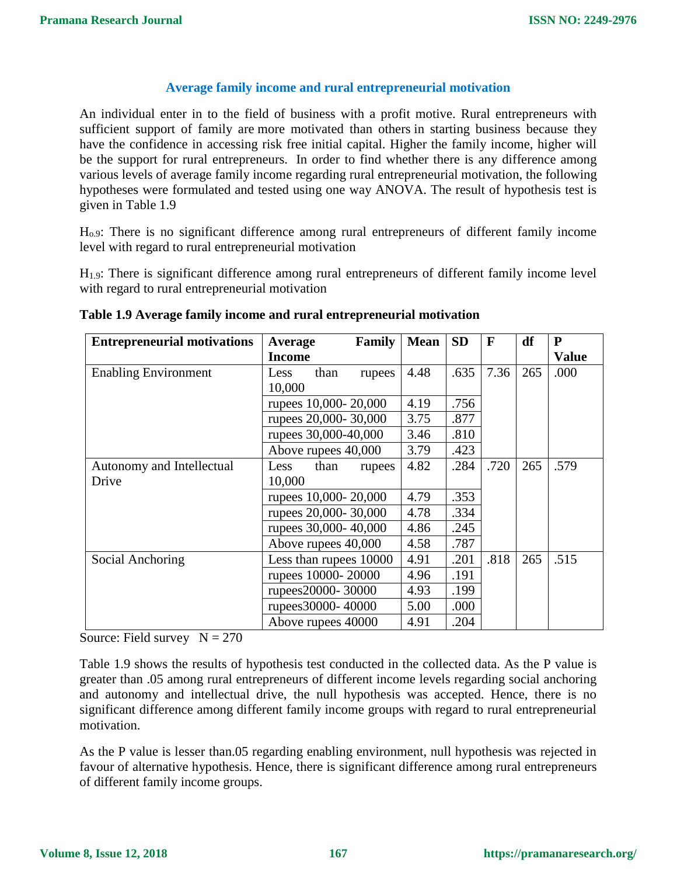#### **Average family income and rural entrepreneurial motivation**

An individual enter in to the field of business with a profit motive. Rural entrepreneurs with sufficient support of family are more motivated than others in starting business because they have the confidence in accessing risk free initial capital. Higher the family income, higher will be the support for rural entrepreneurs. In order to find whether there is any difference among various levels of average family income regarding rural entrepreneurial motivation, the following hypotheses were formulated and tested using one way ANOVA. The result of hypothesis test is given in Table 1.9

Ho.9: There is no significant difference among rural entrepreneurs of different family income level with regard to rural entrepreneurial motivation

H1.9: There is significant difference among rural entrepreneurs of different family income level with regard to rural entrepreneurial motivation

| <b>Entrepreneurial motivations</b> | Average                | Family | <b>Mean</b> | <b>SD</b> | F    | df  | ${\bf P}$    |
|------------------------------------|------------------------|--------|-------------|-----------|------|-----|--------------|
|                                    | <b>Income</b>          |        |             |           |      |     | <b>Value</b> |
| <b>Enabling Environment</b>        | than<br>Less           | rupees | 4.48        | .635      | 7.36 | 265 | .000         |
|                                    | 10,000                 |        |             |           |      |     |              |
|                                    | rupees 10,000-20,000   |        | 4.19        | .756      |      |     |              |
|                                    | rupees 20,000-30,000   |        | 3.75        | .877      |      |     |              |
|                                    | rupees 30,000-40,000   |        | 3.46        | .810      |      |     |              |
|                                    | Above rupees 40,000    |        | 3.79        | .423      |      |     |              |
| Autonomy and Intellectual          | than<br>Less           | rupees | 4.82        | .284      | .720 | 265 | .579         |
| Drive                              | 10,000                 |        |             |           |      |     |              |
|                                    | rupees 10,000-20,000   |        | 4.79        | .353      |      |     |              |
|                                    | rupees 20,000-30,000   |        | 4.78        | .334      |      |     |              |
|                                    | rupees 30,000-40,000   |        | 4.86        | .245      |      |     |              |
|                                    | Above rupees 40,000    |        | 4.58        | .787      |      |     |              |
| Social Anchoring                   | Less than rupees 10000 |        | 4.91        | .201      | .818 | 265 | .515         |
|                                    | rupees 10000-20000     |        | 4.96        | .191      |      |     |              |
|                                    | rupees20000-30000      |        | 4.93        | .199      |      |     |              |
|                                    | rupees30000-40000      |        | 5.00        | .000      |      |     |              |
|                                    | Above rupees 40000     |        | 4.91        | .204      |      |     |              |

**Table 1.9 Average family income and rural entrepreneurial motivation**

Source: Field survey  $N = 270$ 

Table 1.9 shows the results of hypothesis test conducted in the collected data. As the P value is greater than .05 among rural entrepreneurs of different income levels regarding social anchoring and autonomy and intellectual drive, the null hypothesis was accepted. Hence, there is no significant difference among different family income groups with regard to rural entrepreneurial motivation.

As the P value is lesser than.05 regarding enabling environment, null hypothesis was rejected in favour of alternative hypothesis. Hence, there is significant difference among rural entrepreneurs of different family income groups.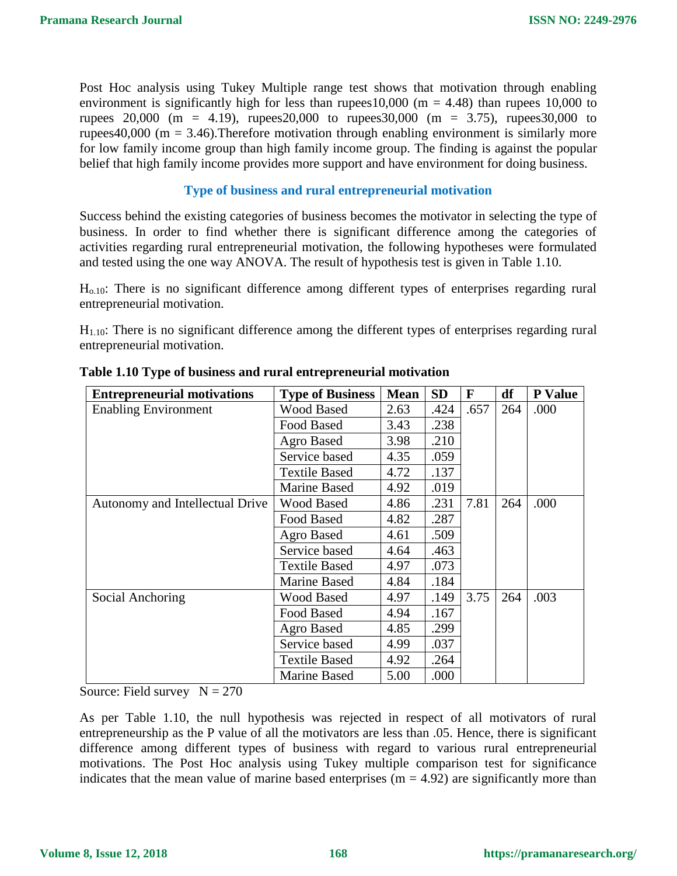Post Hoc analysis using Tukey Multiple range test shows that motivation through enabling environment is significantly high for less than rupees 10,000 (m = 4.48) than rupees 10,000 to rupees 20,000 (m = 4.19), rupees20,000 to rupees30,000 (m = 3.75), rupees30,000 to rupees40,000 ( $m = 3.46$ ). Therefore motivation through enabling environment is similarly more for low family income group than high family income group. The finding is against the popular belief that high family income provides more support and have environment for doing business.

#### **Type of business and rural entrepreneurial motivation**

Success behind the existing categories of business becomes the motivator in selecting the type of business. In order to find whether there is significant difference among the categories of activities regarding rural entrepreneurial motivation, the following hypotheses were formulated and tested using the one way ANOVA. The result of hypothesis test is given in Table 1.10.

Ho.10: There is no significant difference among different types of enterprises regarding rural entrepreneurial motivation.

 $H<sub>1.10</sub>$ : There is no significant difference among the different types of enterprises regarding rural entrepreneurial motivation.

| <b>Entrepreneurial motivations</b> | <b>Type of Business</b> | <b>Mean</b> | <b>SD</b> | F    | df  | P Value |
|------------------------------------|-------------------------|-------------|-----------|------|-----|---------|
| <b>Enabling Environment</b>        | <b>Wood Based</b>       | 2.63        | .424      | .657 | 264 | .000    |
|                                    | Food Based              | 3.43        | .238      |      |     |         |
|                                    | Agro Based              | 3.98        | .210      |      |     |         |
|                                    | Service based           | 4.35        | .059      |      |     |         |
|                                    | <b>Textile Based</b>    | 4.72        | .137      |      |     |         |
|                                    | <b>Marine Based</b>     | 4.92        | .019      |      |     |         |
| Autonomy and Intellectual Drive    | <b>Wood Based</b>       | 4.86        | .231      | 7.81 | 264 | .000    |
|                                    | Food Based              | 4.82        | .287      |      |     |         |
|                                    | Agro Based              | 4.61        | .509      |      |     |         |
|                                    | Service based           | 4.64        | .463      |      |     |         |
|                                    | <b>Textile Based</b>    | 4.97        | .073      |      |     |         |
|                                    | <b>Marine Based</b>     | 4.84        | .184      |      |     |         |
| Social Anchoring                   | <b>Wood Based</b>       | 4.97        | .149      | 3.75 | 264 | .003    |
|                                    | Food Based              | 4.94        | .167      |      |     |         |
|                                    | Agro Based              | 4.85        | .299      |      |     |         |
|                                    | Service based           | 4.99        | .037      |      |     |         |
|                                    | <b>Textile Based</b>    | 4.92        | .264      |      |     |         |
|                                    | <b>Marine Based</b>     | 5.00        | .000      |      |     |         |

**Table 1.10 Type of business and rural entrepreneurial motivation**

Source: Field survey  $N = 270$ 

As per Table 1.10, the null hypothesis was rejected in respect of all motivators of rural entrepreneurship as the P value of all the motivators are less than .05. Hence, there is significant difference among different types of business with regard to various rural entrepreneurial motivations. The Post Hoc analysis using Tukey multiple comparison test for significance indicates that the mean value of marine based enterprises  $(m = 4.92)$  are significantly more than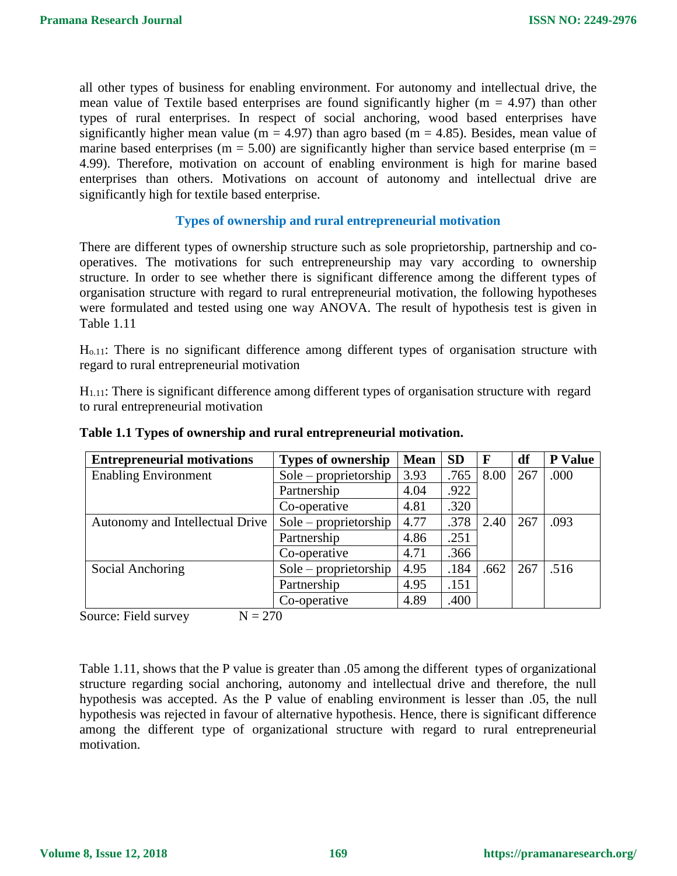all other types of business for enabling environment. For autonomy and intellectual drive, the mean value of Textile based enterprises are found significantly higher ( $m = 4.97$ ) than other types of rural enterprises. In respect of social anchoring, wood based enterprises have significantly higher mean value (m = 4.97) than agro based (m = 4.85). Besides, mean value of marine based enterprises ( $m = 5.00$ ) are significantly higher than service based enterprise ( $m =$ 4.99). Therefore, motivation on account of enabling environment is high for marine based enterprises than others. Motivations on account of autonomy and intellectual drive are significantly high for textile based enterprise.

#### **Types of ownership and rural entrepreneurial motivation**

There are different types of ownership structure such as sole proprietorship, partnership and cooperatives. The motivations for such entrepreneurship may vary according to ownership structure. In order to see whether there is significant difference among the different types of organisation structure with regard to rural entrepreneurial motivation, the following hypotheses were formulated and tested using one way ANOVA. The result of hypothesis test is given in Table 1.11

Ho.11: There is no significant difference among different types of organisation structure with regard to rural entrepreneurial motivation

 $H<sub>1.11</sub>$ : There is significant difference among different types of organisation structure with regard to rural entrepreneurial motivation

| <b>Entrepreneurial motivations</b> | <b>Types of ownership</b> | <b>Mean</b> | <b>SD</b> | F    | df  | P Value |
|------------------------------------|---------------------------|-------------|-----------|------|-----|---------|
| <b>Enabling Environment</b>        | $Sole$ – proprietorship   | 3.93        | .765      | 8.00 | 267 | .000    |
|                                    | Partnership               | 4.04        | .922      |      |     |         |
|                                    | Co-operative              | 4.81        | .320      |      |     |         |
| Autonomy and Intellectual Drive    | $Sole$ – proprietorship   | 4.77        | .378      | 2.40 | 267 | .093    |
|                                    | Partnership               | 4.86        | .251      |      |     |         |
|                                    | Co-operative              | 4.71        | .366      |      |     |         |
| Social Anchoring                   | $Sole$ – proprietorship   | 4.95        | .184      | .662 | 267 | .516    |
|                                    | Partnership               | 4.95        | .151      |      |     |         |
|                                    | Co-operative              | 4.89        | .400      |      |     |         |

#### **Table 1.1 Types of ownership and rural entrepreneurial motivation.**

Source: Field survey  $N = 270$ 

Table 1.11, shows that the P value is greater than .05 among the different types of organizational structure regarding social anchoring, autonomy and intellectual drive and therefore, the null hypothesis was accepted. As the P value of enabling environment is lesser than .05, the null hypothesis was rejected in favour of alternative hypothesis. Hence, there is significant difference among the different type of organizational structure with regard to rural entrepreneurial motivation.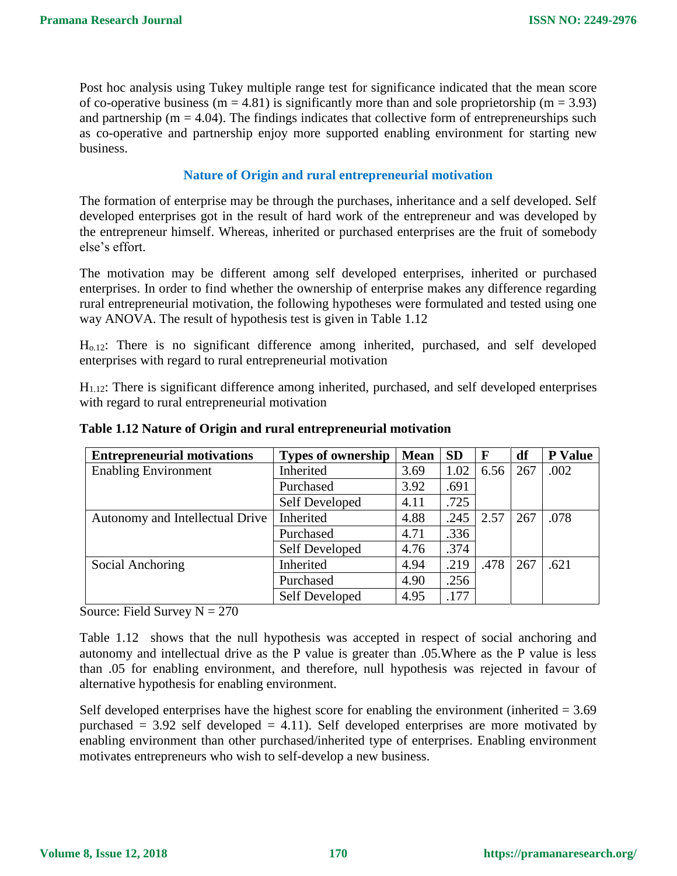Post hoc analysis using Tukey multiple range test for significance indicated that the mean score of co-operative business (m = 4.81) is significantly more than and sole proprietorship (m = 3.93) and partnership ( $m = 4.04$ ). The findings indicates that collective form of entrepreneurships such as co-operative and partnership enjoy more supported enabling environment for starting new business.

#### **Nature of Origin and rural entrepreneurial motivation**

The formation of enterprise may be through the purchases, inheritance and a self developed. Self developed enterprises got in the result of hard work of the entrepreneur and was developed by the entrepreneur himself. Whereas, inherited or purchased enterprises are the fruit of somebody else's effort.

The motivation may be different among self developed enterprises, inherited or purchased enterprises. In order to find whether the ownership of enterprise makes any difference regarding rural entrepreneurial motivation, the following hypotheses were formulated and tested using one way ANOVA. The result of hypothesis test is given in Table 1.12

Ho.12: There is no significant difference among inherited, purchased, and self developed enterprises with regard to rural entrepreneurial motivation

H1.12: There is significant difference among inherited, purchased, and self developed enterprises with regard to rural entrepreneurial motivation

| <b>Entrepreneurial motivations</b> | <b>Types of ownership</b> | <b>Mean</b> | <b>SD</b> | $\mathbf{F}$ | df  | <b>P</b> Value |
|------------------------------------|---------------------------|-------------|-----------|--------------|-----|----------------|
| <b>Enabling Environment</b>        | Inherited                 | 3.69        | 1.02      | 6.56         | 267 | .002           |
|                                    | Purchased                 | 3.92        | .691      |              |     |                |
|                                    | Self Developed            | 4.11        | .725      |              |     |                |
| Autonomy and Intellectual Drive    | Inherited                 | 4.88        | .245      | 2.57         | 267 | .078           |
|                                    | Purchased                 | 4.71        | .336      |              |     |                |
|                                    | <b>Self Developed</b>     | 4.76        | .374      |              |     |                |
| Social Anchoring                   | Inherited                 | 4.94        | .219      | .478         | 267 | .621           |
|                                    | Purchased                 | 4.90        | .256      |              |     |                |
|                                    | <b>Self Developed</b>     | 4.95        | .177      |              |     |                |

#### **Table 1.12 Nature of Origin and rural entrepreneurial motivation**

Source: Field Survey  $N = 270$ 

Table 1.12 shows that the null hypothesis was accepted in respect of social anchoring and autonomy and intellectual drive as the P value is greater than .05.Where as the P value is less than .05 for enabling environment, and therefore, null hypothesis was rejected in favour of alternative hypothesis for enabling environment.

Self developed enterprises have the highest score for enabling the environment (inherited  $= 3.69$ ) purchased  $= 3.92$  self developed  $= 4.11$ ). Self developed enterprises are more motivated by enabling environment than other purchased/inherited type of enterprises. Enabling environment motivates entrepreneurs who wish to self-develop a new business.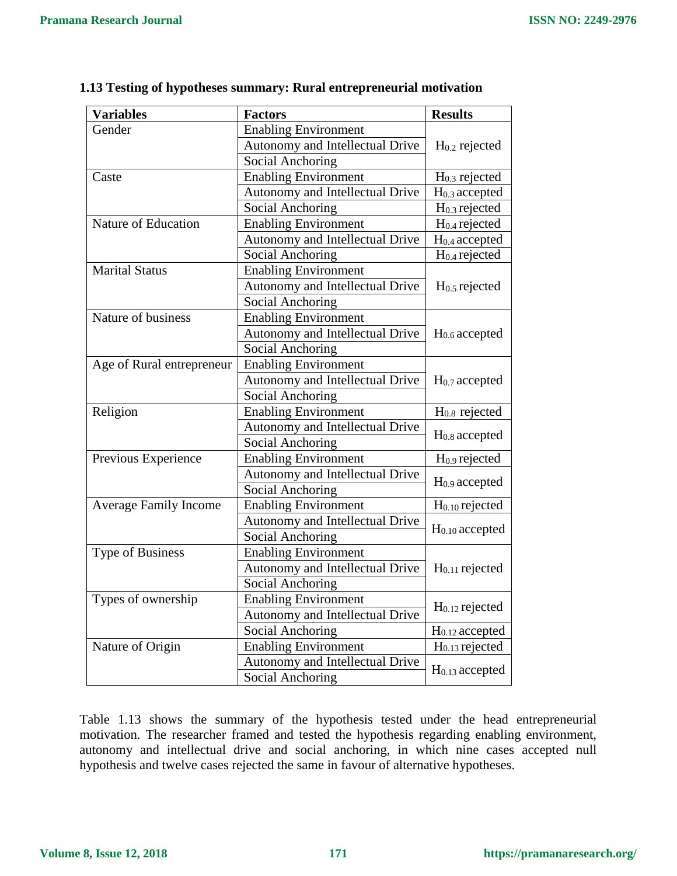$\overline{\phantom{0}}$ 

| <b>Variables</b>             | <b>Factors</b>                  | <b>Results</b>            |  |  |
|------------------------------|---------------------------------|---------------------------|--|--|
| Gender                       | <b>Enabling Environment</b>     |                           |  |  |
|                              | Autonomy and Intellectual Drive | $H0.2$ rejected           |  |  |
|                              | Social Anchoring                |                           |  |  |
| Caste                        | <b>Enabling Environment</b>     | $H0.3$ rejected           |  |  |
|                              | Autonomy and Intellectual Drive | $H0.3$ accepted           |  |  |
|                              | Social Anchoring                | $H0.3$ rejected           |  |  |
| Nature of Education          | <b>Enabling Environment</b>     | $H0.4$ rejected           |  |  |
|                              | Autonomy and Intellectual Drive | H <sub>0.4</sub> accepted |  |  |
|                              | Social Anchoring                | $H0.4$ rejected           |  |  |
| <b>Marital Status</b>        | <b>Enabling Environment</b>     |                           |  |  |
|                              | Autonomy and Intellectual Drive | $H0.5$ rejected           |  |  |
|                              | Social Anchoring                |                           |  |  |
| Nature of business           | <b>Enabling Environment</b>     |                           |  |  |
|                              | Autonomy and Intellectual Drive | H <sub>0.6</sub> accepted |  |  |
|                              | Social Anchoring                |                           |  |  |
| Age of Rural entrepreneur    | <b>Enabling Environment</b>     |                           |  |  |
|                              | Autonomy and Intellectual Drive | H <sub>0.7</sub> accepted |  |  |
|                              | Social Anchoring                |                           |  |  |
| Religion                     | <b>Enabling Environment</b>     | H <sub>0.8</sub> rejected |  |  |
|                              | Autonomy and Intellectual Drive | $H0.8$ accepted           |  |  |
|                              | Social Anchoring                |                           |  |  |
| Previous Experience          | <b>Enabling Environment</b>     | $H0.9$ rejected           |  |  |
|                              | Autonomy and Intellectual Drive | $H0.9$ accepted           |  |  |
|                              | <b>Social Anchoring</b>         |                           |  |  |
| <b>Average Family Income</b> | <b>Enabling Environment</b>     | $H0.10$ rejected          |  |  |
|                              | Autonomy and Intellectual Drive | $H0.10$ accepted          |  |  |
|                              | Social Anchoring                |                           |  |  |
| Type of Business             | <b>Enabling Environment</b>     |                           |  |  |
|                              | Autonomy and Intellectual Drive | $H0.11$ rejected          |  |  |
|                              | Social Anchoring                |                           |  |  |
| Types of ownership           | <b>Enabling Environment</b>     | $H0.12$ rejected          |  |  |
|                              | Autonomy and Intellectual Drive |                           |  |  |
|                              | Social Anchoring                |                           |  |  |
| Nature of Origin             | <b>Enabling Environment</b>     | $H0.13$ rejected          |  |  |
|                              | Autonomy and Intellectual Drive | $H0.13$ accepted          |  |  |
| Social Anchoring             |                                 |                           |  |  |

#### **1.13 Testing of hypotheses summary: Rural entrepreneurial motivation**

Table 1.13 shows the summary of the hypothesis tested under the head entrepreneurial motivation. The researcher framed and tested the hypothesis regarding enabling environment, autonomy and intellectual drive and social anchoring, in which nine cases accepted null hypothesis and twelve cases rejected the same in favour of alternative hypotheses.